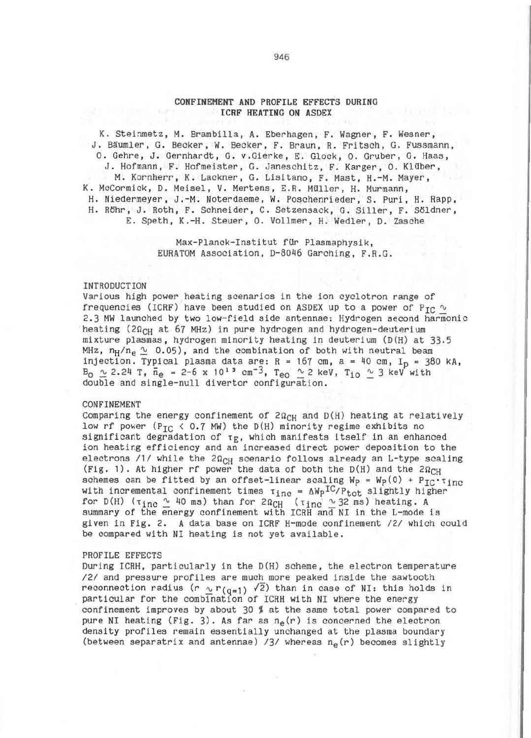# CONFINEMENT AND PROF ILE EFFECTS DURING **ICRF HEATING ON ASDEX**

K. Steinmetz, M. Brambilla, A. Eberhagen. F. Wagner, F. Wesner, J. Bäumler, G. Becker, W. Becker, F. Braun, R. Fritsch, G. Fussmann, O. Gehre, J. Gernhardt, G. v.Gierke, E. Glock, O. Gruber, G. Haas, J. Hofmann, F. Hofmeister, G. Janeschitz, F. Karger, O. Klüber, M. Kornherr, K. Lackner, G. Lisitano, F. Mast, H.-M. Mayer, K. McCormick, D. Meisel, V. Mertens, E.R. Müller, H. Murmann, H. Niedermeyer, J.-M. Noterdaeme, W. Poschenrieder, S. Puri, H. Rapp, H. Rohr, J. Roth, F. Schneider, C. Setzensack, G. Siller, F. Söldner, E. Speth, K.-H. Steuer, O. Vollmer, H. Wedler, D. Zasche

> Max-Planck-Institut für Plasmaphysik, EURATOM Association, D-8046 Garching, F.R.G.

#### INTRODUCTION

Various high power heating scenarios in the ion cyclotron range of frequencies (ICRF) have been studied on ASDEX up to a power of P<sub>TC</sub>  $\sim$ 2.3 MW launched by two low-field side antennae: Hydrogen second harmonic heating (2 $\Omega_{CH}$  at 67 MHz) in pure hydrogen and hydrogen-deuterium mixture plasmas, hydrogen minority heating in deuterium (D(H) at 33.5 MHz,  $n_H/n_e \sim 0.05$ , and the combination of both with neutral beam injection. Typical plasma data are: R = 167 cm, a = 40 cm,  $I_p$  = 380 kA,  $B_0 \sim 2.24$  T,  $\bar{n}_e = 2-6$  x 10<sup>13</sup> cm<sup>-3</sup>, T<sub>eo</sub>  $\sim$  2 keV, T<sub>iO</sub>  $\sim$  3 keV with double and single-null divertor configuration.

## **CONFINEMENT**

Comparing the energy confinement of  $2\Omega_{CH}$  and  $D(H)$  heating at relatively low rf power (P<sub>TC</sub> < 0.7 MW) the D(H) minority regime exhibits no significant degradation of  $\tau_E$ , which manifests itself in an enhanced ion heating efficiency and an increased direct power deposition to the electrons  $/1/$  while the  $2\Omega_{CH}$  scenario follows already an L-type scaling (Fig. 1). At higher rf power the data of both the D(H) and the  $2\Omega_{CH}$ schemes can be fitted by an offset-linear scaling  $W_p = W_p(0) + P_{IC} \cdot \tau_{inc}$ with incremental confinement times  $\tau_{inc} = \Delta Wp^{IC}/P_{tot}$  slightly higher for D(H) ( $\tau_{inc} \sim$  40 ms) than for 20<sub>CH</sub> ( $\tau_{inc} \sim$  32 ms) heating. A summary of the energy confinement with ICRH and NI in the L-mode is given in Fig. 2. A data base on ICRF H-mode confinement /2/ which could be compared with NI heating is not yet available.

## PROFILE EFFECTS

During ICRH, particularly in the D(H) scheme, the electron temperature */21* and pressure profiles are much more peaked inside the sawtooth reconnection radius (r  $\frac{1}{2}$  r<sub>(q=1)</sub>  $\sqrt{2}$ ) than in case of NI: this holds in particular for the combination of ICRH with NI where the energy confinement improves by about 30  $%$  at the same total power compared to pure NI heating (Fig. 3). As far as  $n_e(r)$  is concerned the electron density profiles remain essentially unchanged at the plasma boundary (between separatrix and antennae)  $/3/$  whereas  $n_{\theta}(r)$  becomes slightly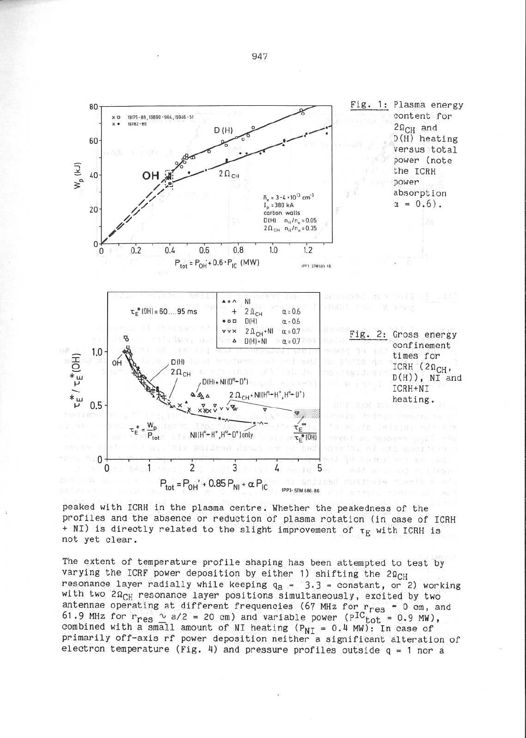

peaked with ICRH in the plasma centre . Whether the peakedness of the profiles and the absence or reduction of plasma rotation (in case of ICRH + NI) is directly related to the slight improvement of  $\tau_E$  with ICRH is not yet clear .

The extent of temperature profile shaping has been attempted to test by varying the ICRF power deposition by either 1) shifting the  $2\Omega_{CH}$ resonance layer radially while keeping  $q_a = 3.3$  = constant, or 2) working with two  $2\Omega_{CH}$  resonance layer positions simultaneously, excited by two antennae operating at different frequencies (67 MHz for rres ~ 0 cm , and 61.9 MHz for  $r_{res} \sim a/2 = 20$  cm) and variable power ( $P^{IC}_{tot} = 0.9$  MW), combined with a small amount of NI heating  $(P_{NT} = 0.4$  MW): In case of primarily off-axis rf power deposition neither a significant alteration of electron temperature (Fig. 4) and pressure profiles outside  $q = 1$  nor a

947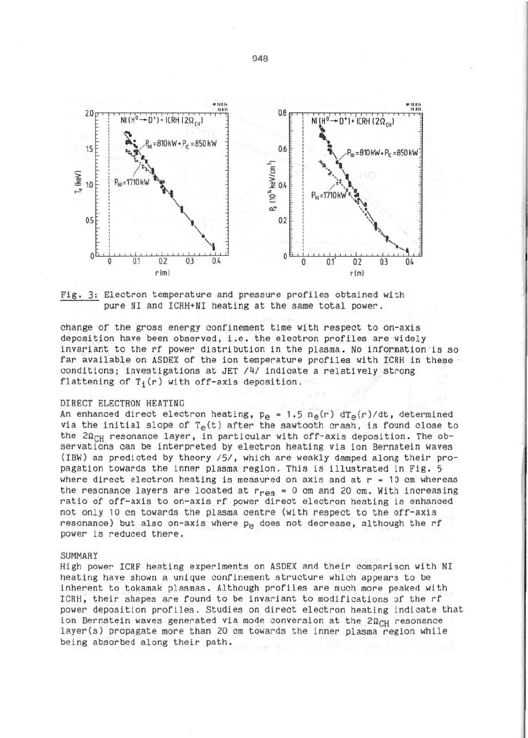

Fig. 3: Electron temperature and pressure profiles obtained with pure NI and ICRH+NI heating at the same total power.

change of the gross energy confinement time with respect to on-axis deposition have been observed, i.e. the electron profiles are widely invariant to the rf power distribution 1n the plasma. No information 'is so far available on ASDEX of the ion temperature profiles with ICRH in these conditions; investigations at JET  $/4/$  indicate a relatively strong flattening of  $T_i(r)$  with off-axis deposition.

### DIRECT ELECTRON HEATING

An enhanced direct electron heating,  $p_e = 1.5 n_e(r) dT_e(r)/dt$ , determined via the initial slope of  $T_{\rho}(t)$  after the sawtooth crash, is found close to the  $2\Omega_{CH}$  resonance layer, in particular with off-axis deposition. The observations can be interpreted by electron heating via ion Bernstein waves (IBW) as predicted by theory /5/, which are weakly damped along their propagation towards the inner plasma region. This is illustrated in Fig. 5 where direct electron heating is measured on axis and at  $r = 10$  cm whereas the resonance layers are located at  $r_{\text{PQR}} = 0$  cm and 20 cm. With increasing ratio of off-axis to on-axis rf power direct electron heating is enhanced not only 10 cm towards the plasma centre (with respect to the off-axis resonance) but also on-axis where  $p_{\rho}$  does not decrease, although the rf power is reduced there .

#### SUMMARY

High power ICRF heating experiments on ASDEX and their comparison with NI heating have shown a unique confinement structure which appears to be inherent to tokamak plasmas. Although profiles are much more peaked with ICRH, their shapes are found to be invariant to modifications of the rf power deposition profiles. Studies on direct electron heating indicate that<br>ion Bernstein waves generated via mode conversion at the  $2\Omega_{CH}$  resonance layer(s) propagate more than 20 cm towards the inner plasma region while being absorbed along their path.